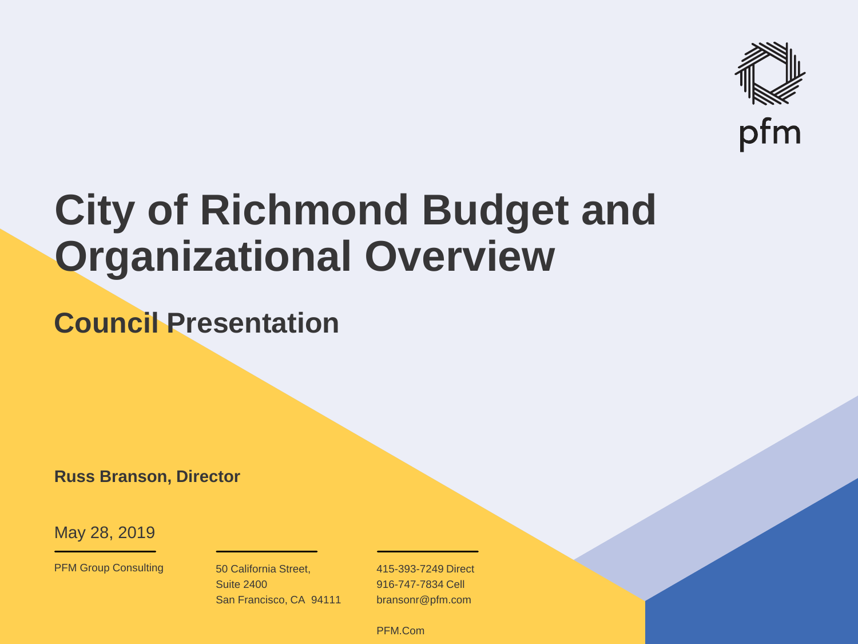

# **City of Richmond Budget and Organizational Overview**

**Council Presentation**

**Russ Branson, Director**

May 28, 2019

PFM Group Consulting 50 California Street,

Suite 2400 San Francisco, CA 94111

415-393-7249 Direct 916-747-7834 Cell bransonr@pfm.com

© PFM Companies and the Companies of the Companies of the Companies of the Companies of the Companies of the Co<br>December 2008 - Companies of the Companies of the Companies of the Companies of the Companies of the Companie PFM.Com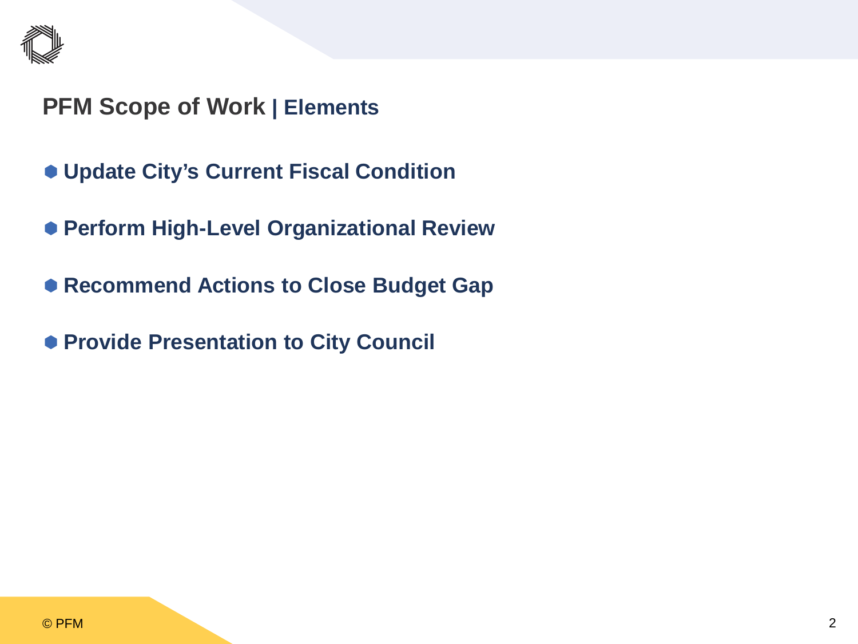

## **PFM Scope of Work | Elements**

- **Update City's Current Fiscal Condition**
- **Perform High-Level Organizational Review**
- **Recommend Actions to Close Budget Gap**
- **Provide Presentation to City Council**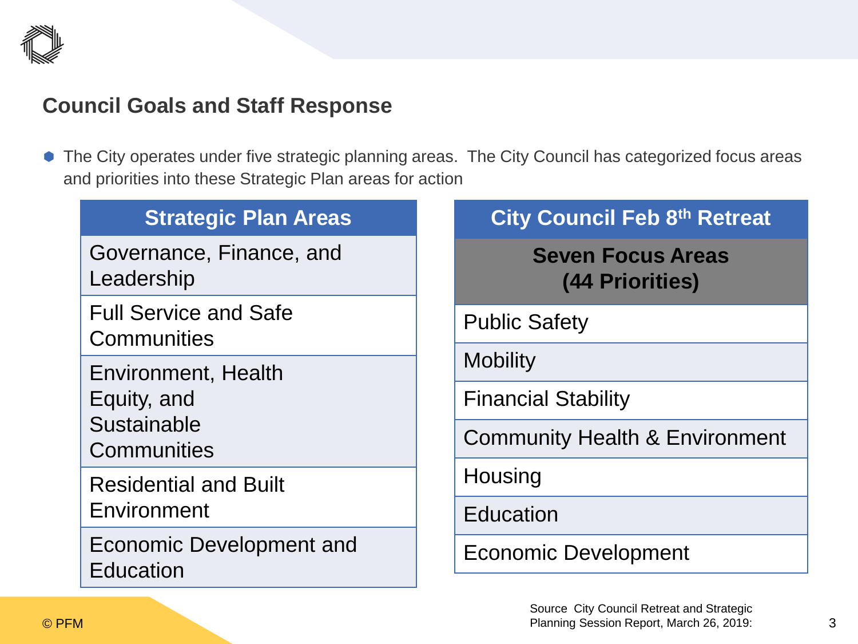

#### **Council Goals and Staff Response**

 The City operates under five strategic planning areas. The City Council has categorized focus areas and priorities into these Strategic Plan areas for action

| <b>Strategic Plan Areas</b>                                             | <b>City Council Feb 8th Retreat</b>         |
|-------------------------------------------------------------------------|---------------------------------------------|
| Governance, Finance, and<br>Leadership                                  | <b>Seven Focus Areas</b><br>(44 Priorities) |
| <b>Full Service and Safe</b><br>Communities                             | <b>Public Safety</b>                        |
| <b>Environment, Health</b><br>Equity, and<br>Sustainable<br>Communities | <b>Mobility</b>                             |
|                                                                         | <b>Financial Stability</b>                  |
|                                                                         | <b>Community Health &amp; Environment</b>   |
| <b>Residential and Built</b><br>Environment                             | Housing                                     |
|                                                                         | <b>Education</b>                            |
| Economic Development and<br>Education                                   | <b>Economic Development</b>                 |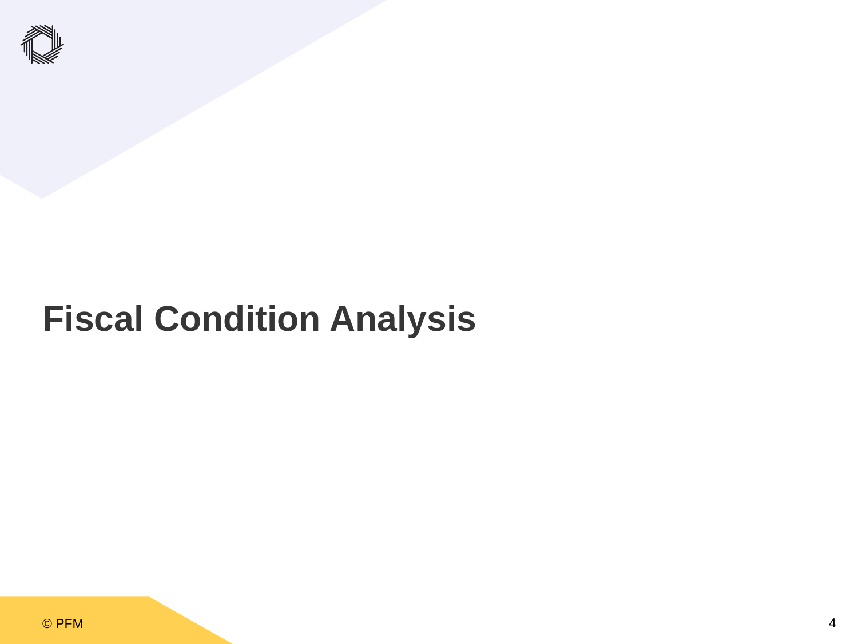

## **Fiscal Condition Analysis**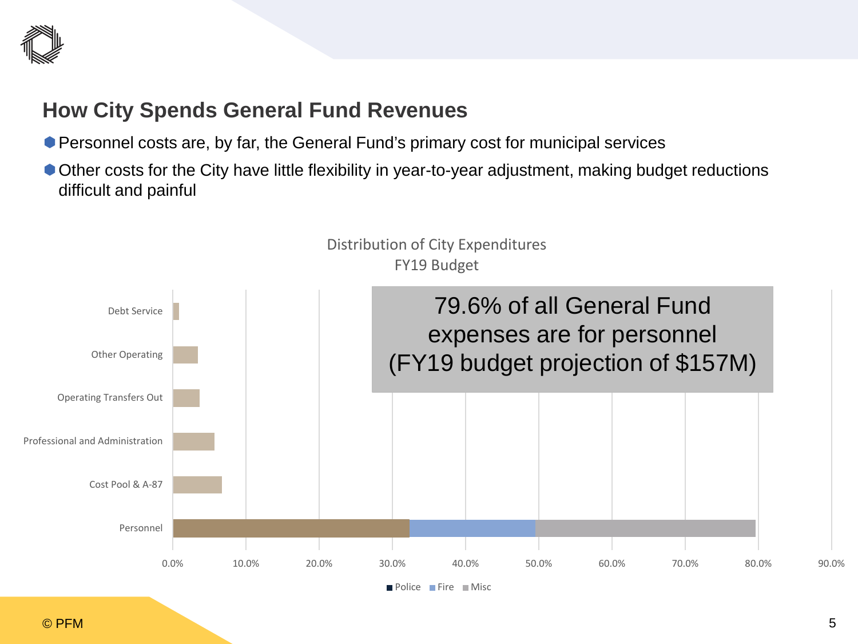

#### **How City Spends General Fund Revenues**

- Personnel costs are, by far, the General Fund's primary cost for municipal services
- Other costs for the City have little flexibility in year-to-year adjustment, making budget reductions difficult and painful

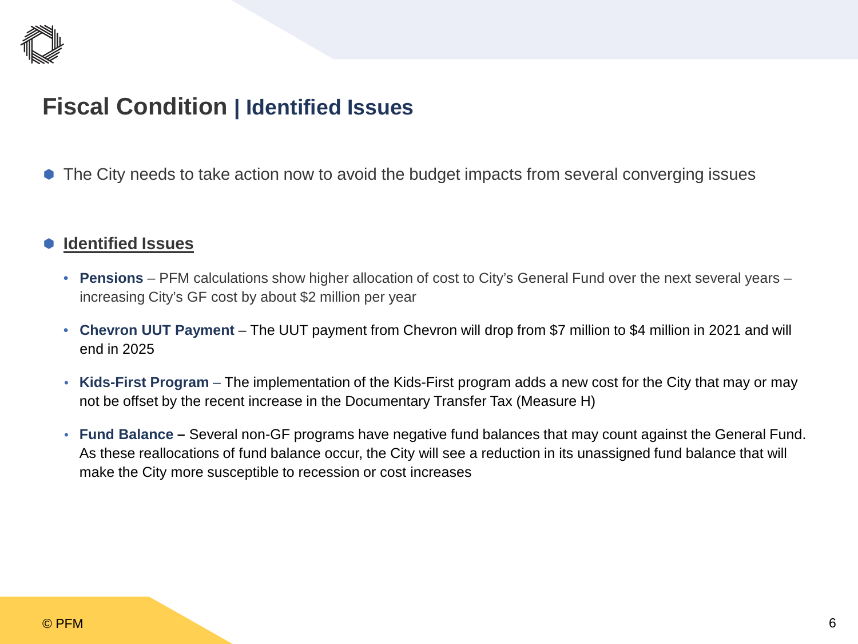

## **Fiscal Condition | Identified Issues**

The City needs to take action now to avoid the budget impacts from several converging issues

#### **Identified Issues**

- **Pensions** PFM calculations show higher allocation of cost to City's General Fund over the next several years increasing City's GF cost by about \$2 million per year
- Chevron UUT Payment The UUT payment from Chevron will drop from \$7 million to \$4 million in 2021 and will end in 2025
- **Kids-First Program**  The implementation of the Kids-First program adds a new cost for the City that may or may not be offset by the recent increase in the Documentary Transfer Tax (Measure H)
- **Fund Balance –** Several non-GF programs have negative fund balances that may count against the General Fund. As these reallocations of fund balance occur, the City will see a reduction in its unassigned fund balance that will make the City more susceptible to recession or cost increases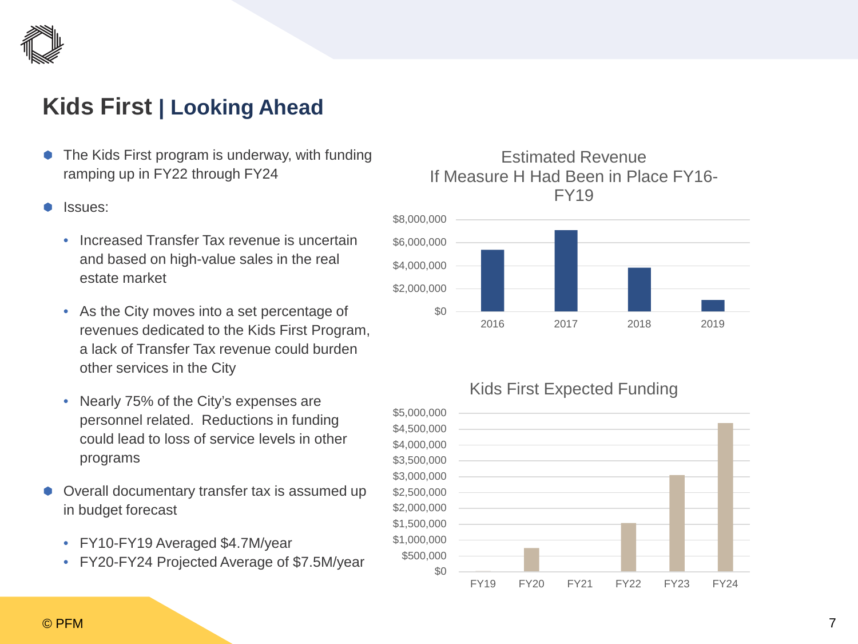

## **Kids First | Looking Ahead**

- The Kids First program is underway, with funding ramping up in FY22 through FY24
- Issues:
	- Increased Transfer Tax revenue is uncertain and based on high-value sales in the real estate market
	- As the City moves into a set percentage of revenues dedicated to the Kids First Program, a lack of Transfer Tax revenue could burden other services in the City
	- Nearly 75% of the City's expenses are personnel related. Reductions in funding could lead to loss of service levels in other programs
- Overall documentary transfer tax is assumed up in budget forecast
	- FY10-FY19 Averaged \$4.7M/year
	- FY20-FY24 Projected Average of \$7.5M/year

#### Estimated Revenue If Measure H Had Been in Place FY16- FY19



#### Kids First Expected Funding

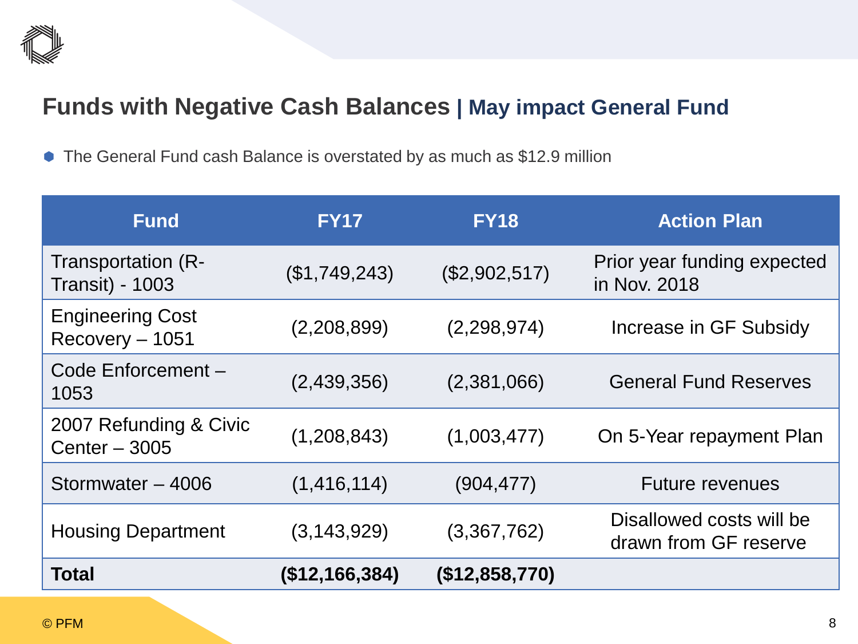

## **Funds with Negative Cash Balances | May impact General Fund**

The General Fund cash Balance is overstated by as much as \$12.9 million

| <b>Fund</b>                                  | <b>FY17</b>    | <b>FY18</b>    | <b>Action Plan</b>                                |
|----------------------------------------------|----------------|----------------|---------------------------------------------------|
| Transportation (R-<br><b>Transit) - 1003</b> | (\$1,749,243)  | (\$2,902,517)  | Prior year funding expected<br>in Nov. 2018       |
| <b>Engineering Cost</b><br>$Recovery - 1051$ | (2,208,899)    | (2,298,974)    | Increase in GF Subsidy                            |
| Code Enforcement-<br>1053                    | (2,439,356)    | (2,381,066)    | <b>General Fund Reserves</b>                      |
| 2007 Refunding & Civic<br>Center $-3005$     | (1,208,843)    | (1,003,477)    | On 5-Year repayment Plan                          |
| Stormwater - 4006                            | (1, 416, 114)  | (904, 477)     | <b>Future revenues</b>                            |
| <b>Housing Department</b>                    | (3, 143, 929)  | (3,367,762)    | Disallowed costs will be<br>drawn from GF reserve |
| Total                                        | (\$12,166,384) | (\$12,858,770) |                                                   |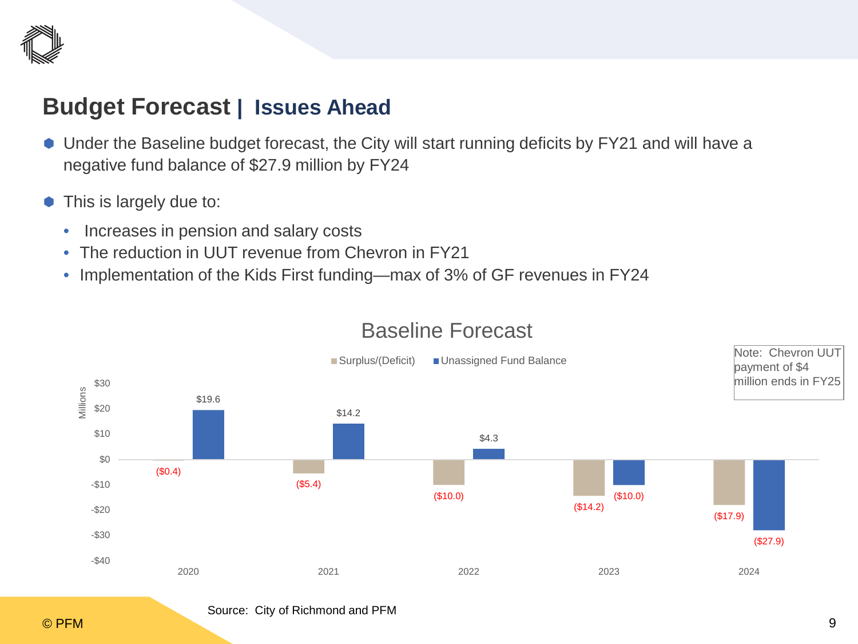

### **Budget Forecast | Issues Ahead**

- Under the Baseline budget forecast, the City will start running deficits by FY21 and will have a negative fund balance of \$27.9 million by FY24
- This is largely due to:
	- Increases in pension and salary costs
	- The reduction in UUT revenue from Chevron in FY21
	- Implementation of the Kids First funding—max of 3% of GF revenues in FY24



#### Baseline Forecast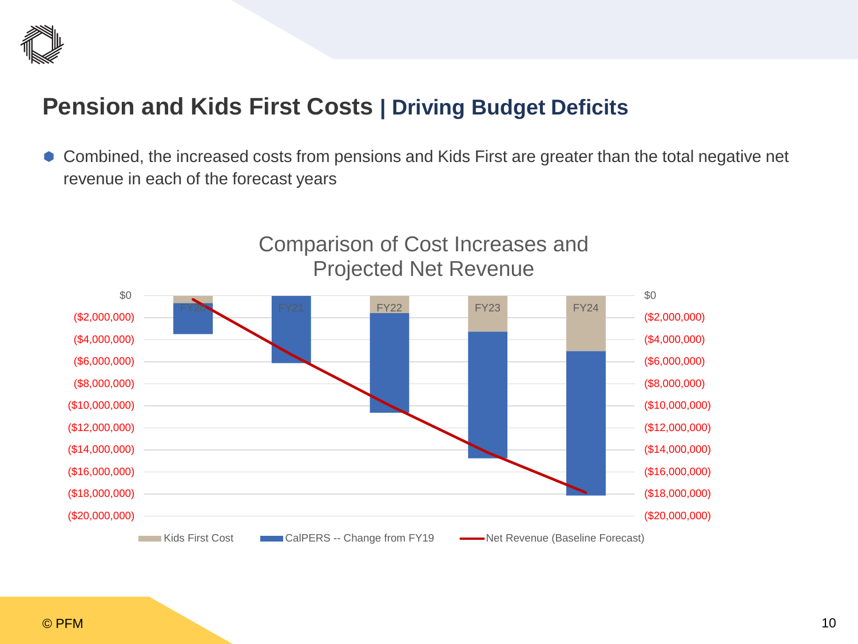

## **Pension and Kids First Costs | Driving Budget Deficits**

 Combined, the increased costs from pensions and Kids First are greater than the total negative net revenue in each of the forecast years

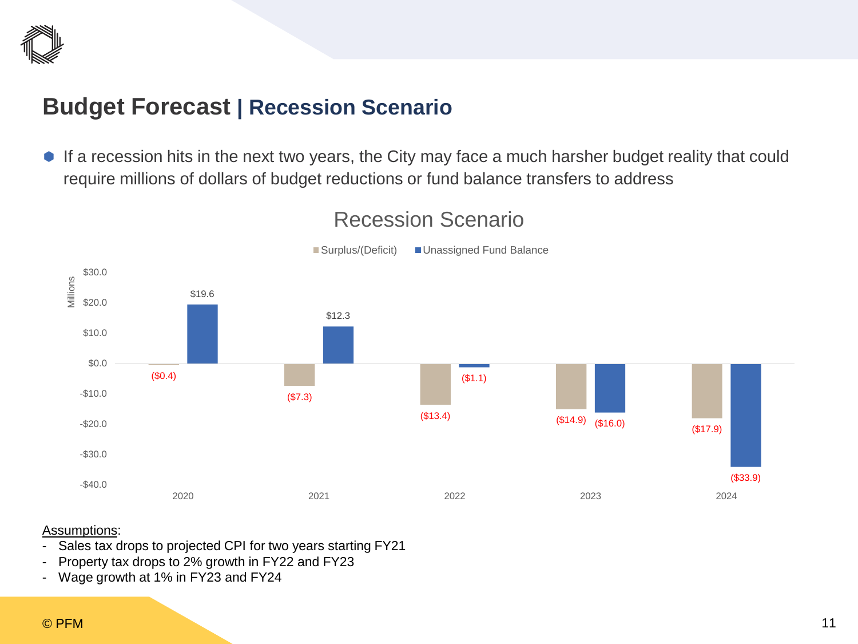

#### **Budget Forecast | Recession Scenario**

 If a recession hits in the next two years, the City may face a much harsher budget reality that could require millions of dollars of budget reductions or fund balance transfers to address



#### Recession Scenario

#### Assumptions:

- Sales tax drops to projected CPI for two years starting FY21
- Property tax drops to 2% growth in FY22 and FY23
- Wage growth at 1% in FY23 and FY24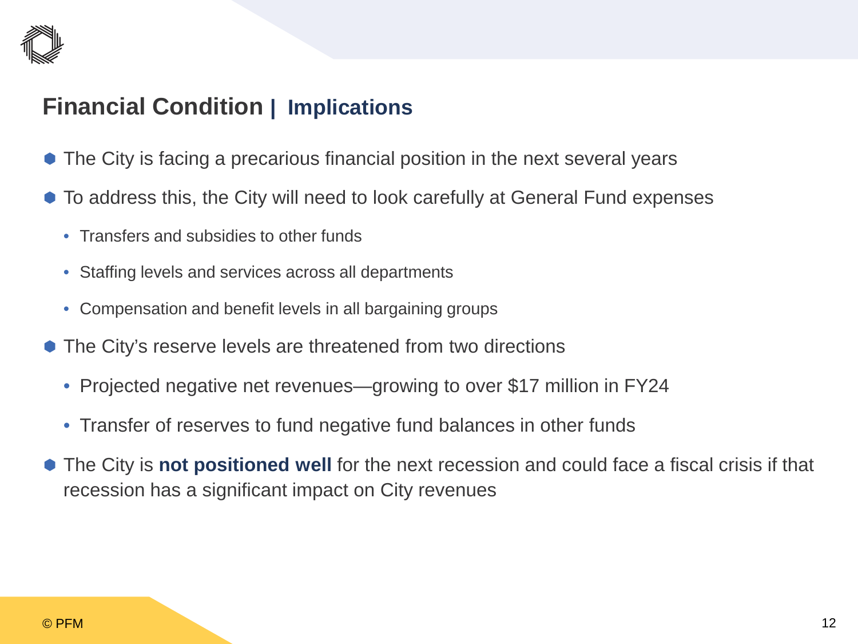

## **Financial Condition | Implications**

- The City is facing a precarious financial position in the next several years
- $\bullet$  To address this, the City will need to look carefully at General Fund expenses
	- Transfers and subsidies to other funds
	- Staffing levels and services across all departments
	- Compensation and benefit levels in all bargaining groups
- The City's reserve levels are threatened from two directions
	- Projected negative net revenues—growing to over \$17 million in FY24
	- Transfer of reserves to fund negative fund balances in other funds
- The City is **not positioned well** for the next recession and could face a fiscal crisis if that recession has a significant impact on City revenues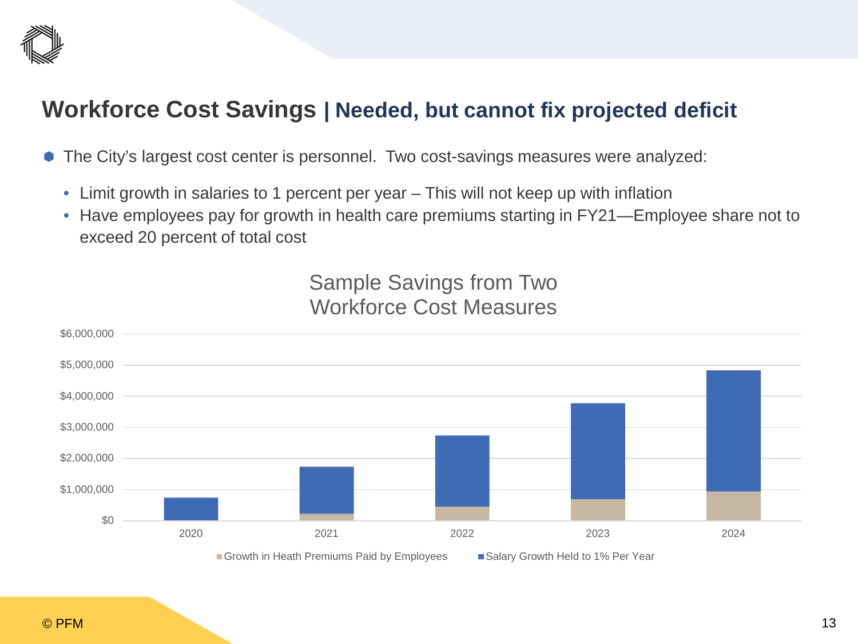

## **Workforce Cost Savings | Needed, but cannot fix projected deficit**

- The City's largest cost center is personnel. Two cost-savings measures were analyzed:
	- Limit growth in salaries to 1 percent per year This will not keep up with inflation
	- Have employees pay for growth in health care premiums starting in FY21—Employee share not to exceed 20 percent of total cost

Sample Savings from Two Workforce Cost Measures

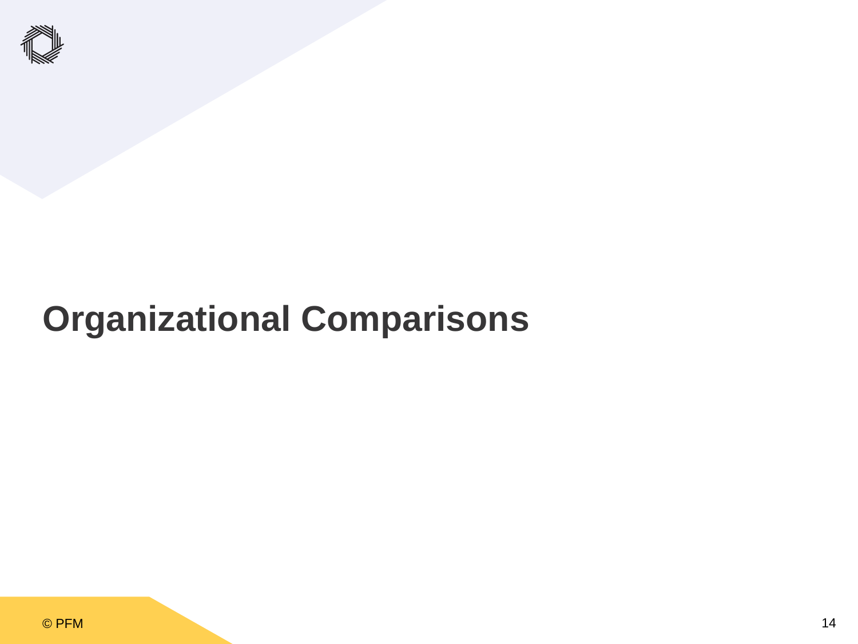

## **Organizational Comparisons**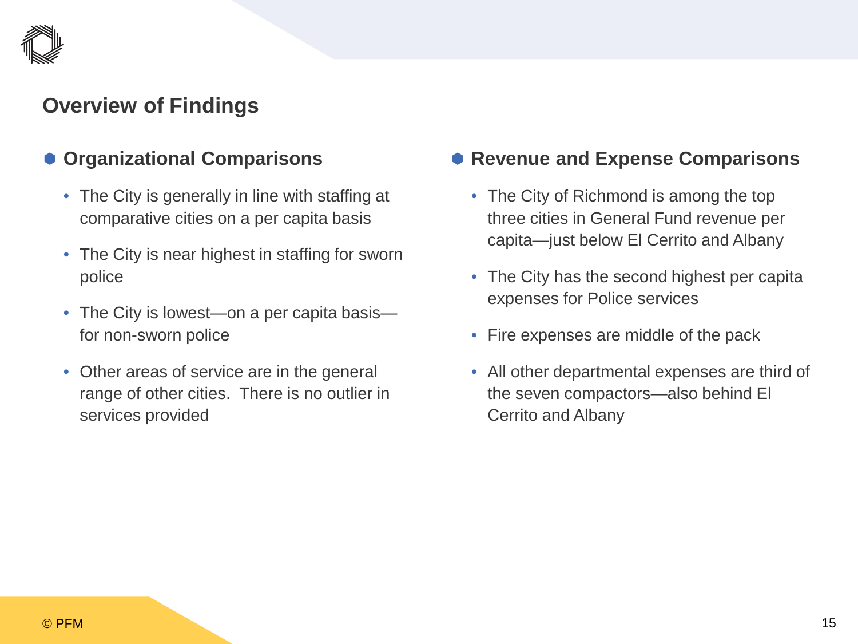### **Overview of Findings**

#### **Organizational Comparisons**

- The City is generally in line with staffing at comparative cities on a per capita basis
- The City is near highest in staffing for sworn police
- The City is lowest—on a per capita basis for non-sworn police
- Other areas of service are in the general range of other cities. There is no outlier in services provided

#### **Revenue and Expense Comparisons**

- The City of Richmond is among the top three cities in General Fund revenue per capita—just below El Cerrito and Albany
- The City has the second highest per capita expenses for Police services
- Fire expenses are middle of the pack
- All other departmental expenses are third of the seven compactors—also behind El Cerrito and Albany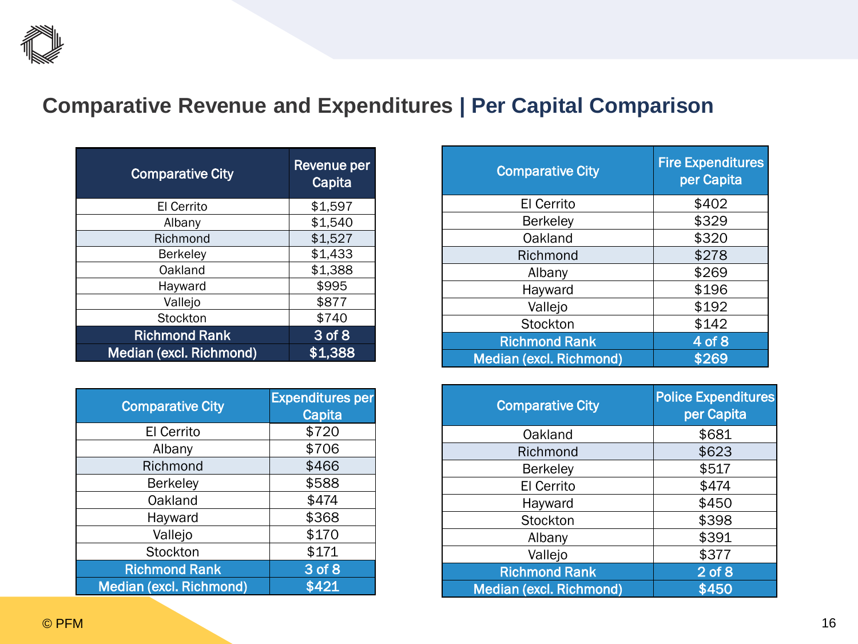

## **Comparative Revenue and Expenditures | Per Capital Comparison**

| <b>Comparative City</b> | Revenue per<br>Capita |
|-------------------------|-----------------------|
| El Cerrito              | \$1,597               |
| Albany                  | \$1,540               |
| Richmond                | \$1,527               |
| <b>Berkeley</b>         | \$1,433               |
| Oakland                 | \$1,388               |
| Hayward                 | \$995                 |
| Vallejo                 | \$877                 |
| Stockton                | \$740                 |
| <b>Richmond Rank</b>    | 3 of 8                |
| Median (excl. Richmond) | \$1,388               |

| <b>Comparative City</b>        | <b>Expenditures per</b><br>Capita |
|--------------------------------|-----------------------------------|
| El Cerrito                     | \$720                             |
| Albany                         | \$706                             |
| Richmond                       | \$466                             |
| <b>Berkeley</b>                | \$588                             |
| Oakland                        | \$474                             |
| Hayward                        | \$368                             |
| Vallejo                        | \$170                             |
| Stockton                       | \$171                             |
| <b>Richmond Rank</b>           | $3$ of $8$                        |
| <b>Median (excl. Richmond)</b> | \$421                             |

| <b>Comparative City</b>        | <b>Fire Expenditures</b><br>per Capita |
|--------------------------------|----------------------------------------|
| <b>El Cerrito</b>              | \$402                                  |
| <b>Berkeley</b>                | \$329                                  |
| Oakland                        | \$320                                  |
| Richmond                       | \$278                                  |
| Albany                         | \$269                                  |
| Hayward                        | \$196                                  |
| Vallejo                        | \$192                                  |
| Stockton                       | \$142                                  |
| <b>Richmond Rank</b>           | 4 of 8                                 |
| <b>Median (excl. Richmond)</b> | \$269                                  |

| <b>Comparative City</b>        | <b>Police Expenditures</b><br>per Capita |
|--------------------------------|------------------------------------------|
| Oakland                        | \$681                                    |
| Richmond                       | \$623                                    |
| <b>Berkeley</b>                | \$517                                    |
| El Cerrito                     | \$474                                    |
| Hayward                        | \$450                                    |
| Stockton                       | \$398                                    |
| Albany                         | \$391                                    |
| Vallejo                        | \$377                                    |
| <b>Richmond Rank</b>           | $2$ of $8$                               |
| <b>Median (excl. Richmond)</b> | \$450                                    |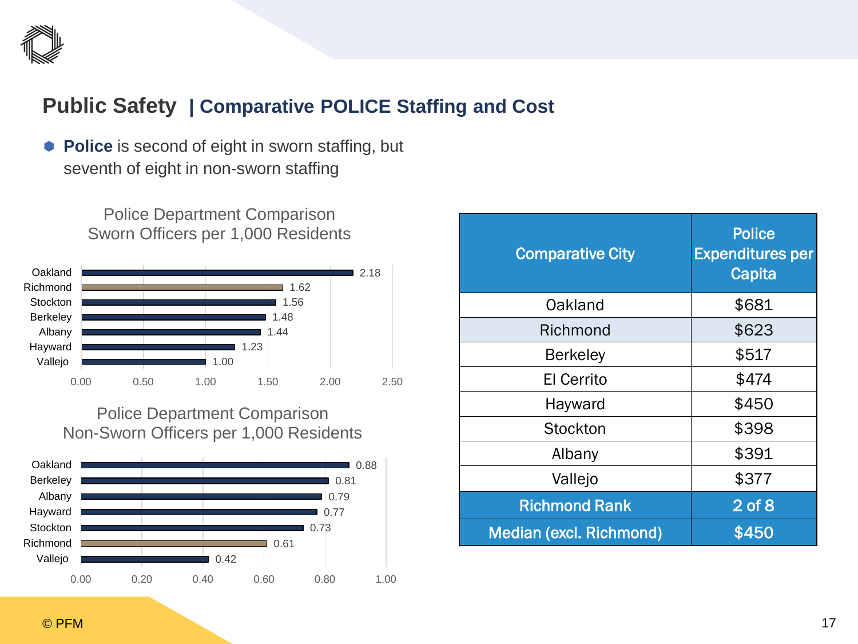

#### **Public Safety | Comparative POLICE Staffing and Cost**

**Police** is second of eight in sworn staffing, but seventh of eight in non-sworn staffing





#### Police Department Comparison Non-Sworn Officers per 1,000 Residents



| <b>Comparative City</b> | <b>Police</b><br><b>Expenditures per</b><br>Capita |
|-------------------------|----------------------------------------------------|
| Oakland                 | \$681                                              |
| Richmond                | \$623                                              |
| <b>Berkeley</b>         | \$517                                              |
| El Cerrito              | \$474                                              |
| Hayward                 | \$450                                              |
| Stockton                | \$398                                              |
| Albany                  | \$391                                              |
| Vallejo                 | \$377                                              |
| <b>Richmond Rank</b>    | $2$ of $8$                                         |
| Median (excl. Richmond) | \$450                                              |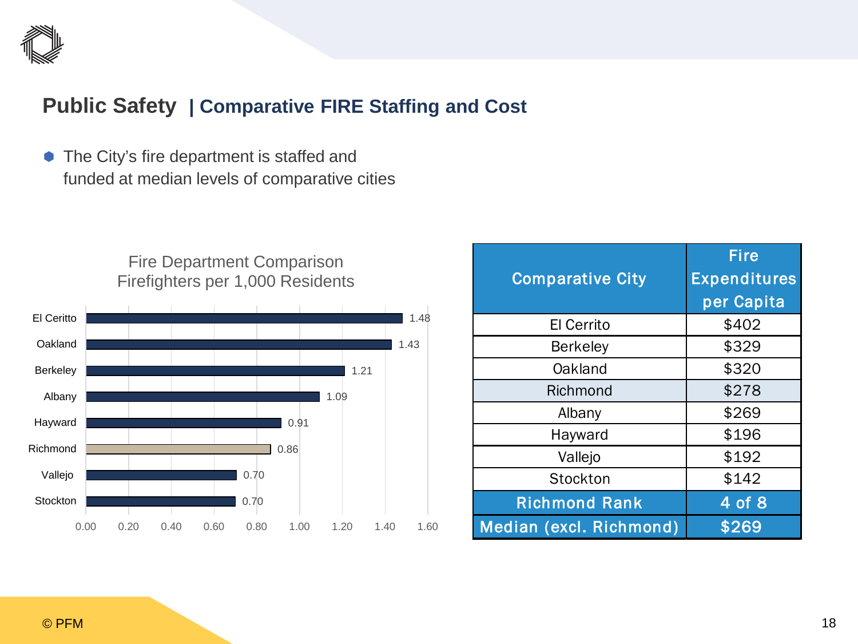

#### **Public Safety | Comparative FIRE Staffing and Cost**

• The City's fire department is staffed and funded at median levels of comparative cities





| <b>Comparative City</b> | <b>Fire</b><br><b>Expenditures</b> |
|-------------------------|------------------------------------|
|                         | per Capita                         |
| <b>El Cerrito</b>       | \$402                              |
| <b>Berkeley</b>         | \$329                              |
| Oakland                 | \$320                              |
| Richmond                | \$278                              |
| Albany                  | \$269                              |
| Hayward                 | \$196                              |
| Vallejo                 | \$192                              |
| Stockton                | \$142                              |
| <b>Richmond Rank</b>    | 4 of 8                             |
| Median (excl. Richmond) | \$269                              |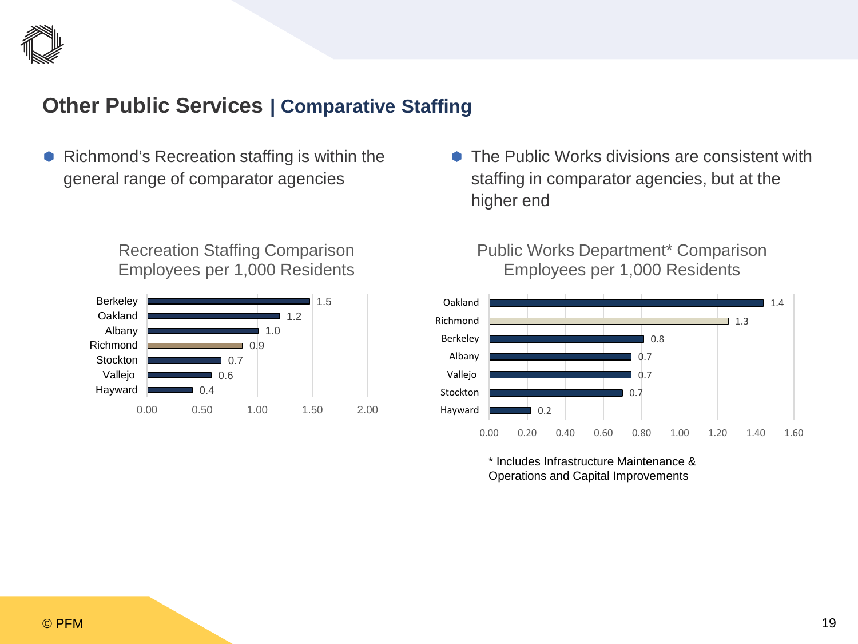

#### **Other Public Services | Comparative Staffing**

 Richmond's Recreation staffing is within the general range of comparator agencies

> Recreation Staffing Comparison Employees per 1,000 Residents



**■ The Public Works divisions are consistent with** staffing in comparator agencies, but at the higher end

#### Public Works Department\* Comparison Employees per 1,000 Residents



\* Includes Infrastructure Maintenance & Operations and Capital Improvements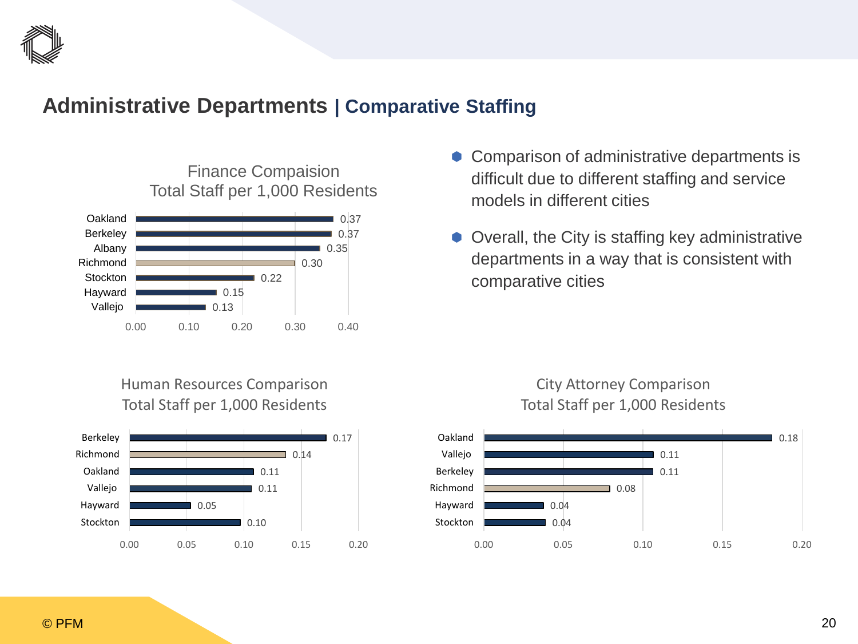

#### **Administrative Departments | Comparative Staffing**



- Comparison of administrative departments is difficult due to different staffing and service models in different cities
- Overall, the City is staffing key administrative departments in a way that is consistent with comparative cities

#### Human Resources Comparison Total Staff per 1,000 Residents





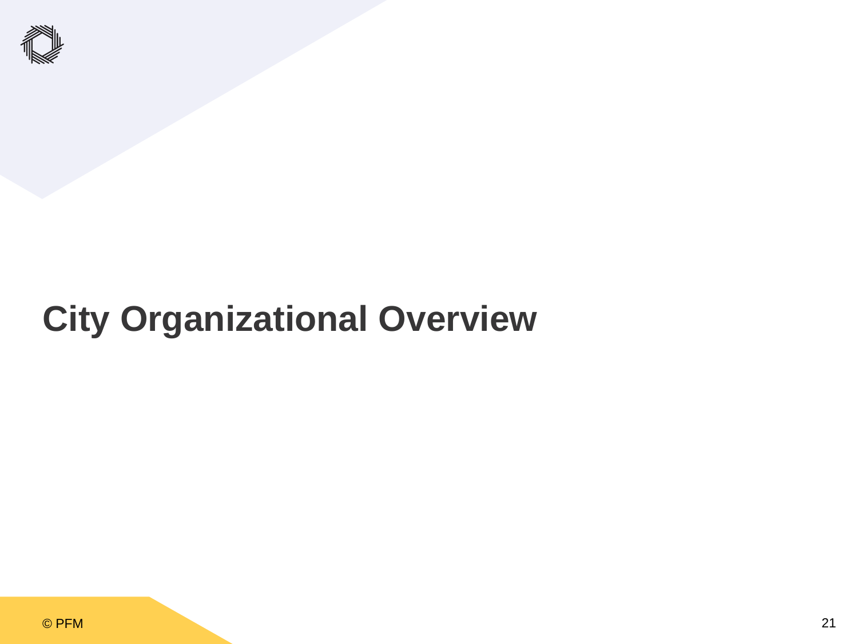

## **City Organizational Overview**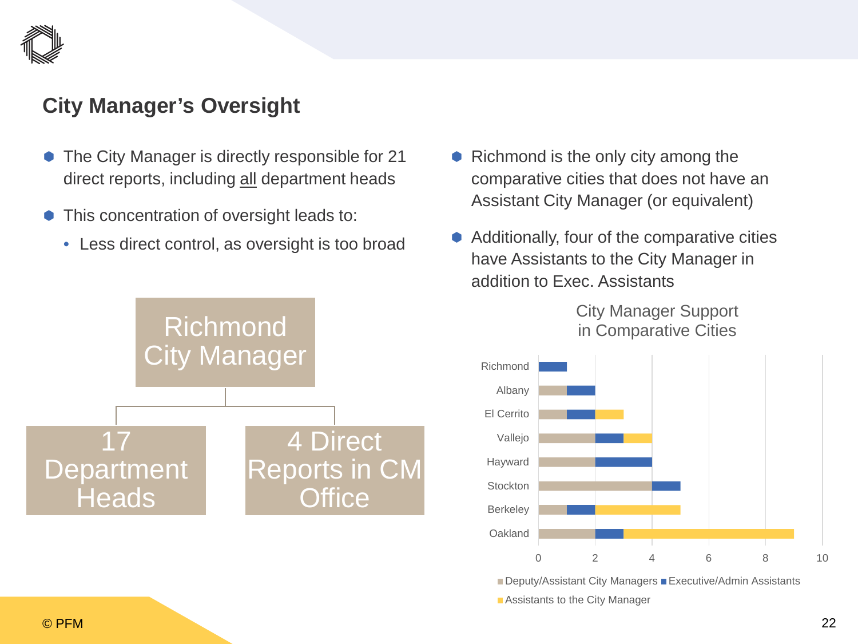

#### **City Manager's Oversight**

- The City Manager is directly responsible for 21 direct reports, including all department heads
- This concentration of oversight leads to:
	- Less direct control, as oversight is too broad



- Richmond is the only city among the comparative cities that does not have an Assistant City Manager (or equivalent)
- Additionally, four of the comparative cities have Assistants to the City Manager in addition to Exec. Assistants

City Manager Support in Comparative Cities



■ Deputy/Assistant City Managers ■ Executive/Admin Assistants **Assistants to the City Manager**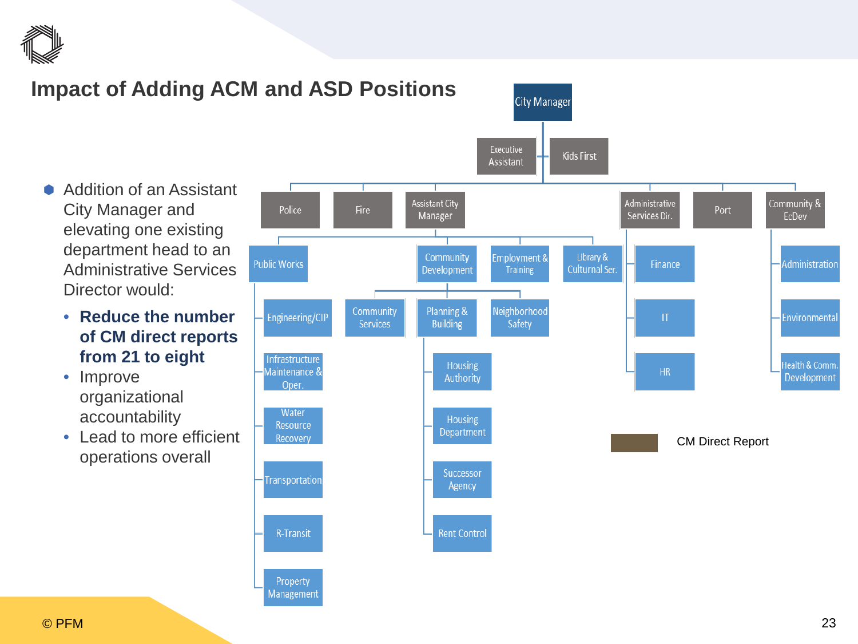

### **Impact of Adding ACM and ASD Positions**

**City Manager** Executive **Kids First** Assistant Administrative **Assistant City** Manager Services Dir.

- Addition of an Assistant City Manager and elevating one existing department head to an Administrative Services Director would:
	- **Reduce the number of CM direct reports from 21 to eight**
	- Improve organizational accountability
	- Lead to more efficient operations overall

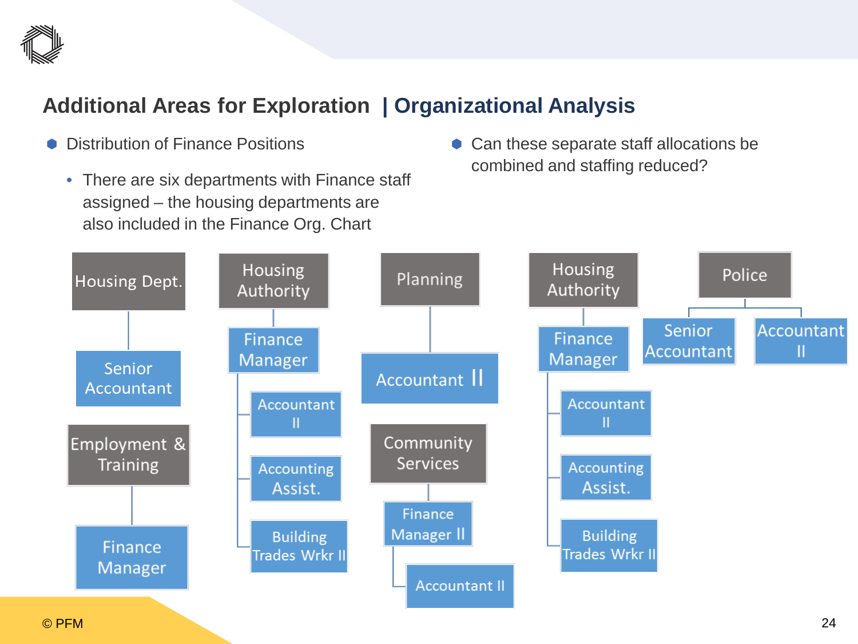

## **Additional Areas for Exploration | Organizational Analysis**

- Distribution of Finance Positions
	- There are six departments with Finance staff assigned – the housing departments are also included in the Finance Org. Chart
- Can these separate staff allocations be combined and staffing reduced?

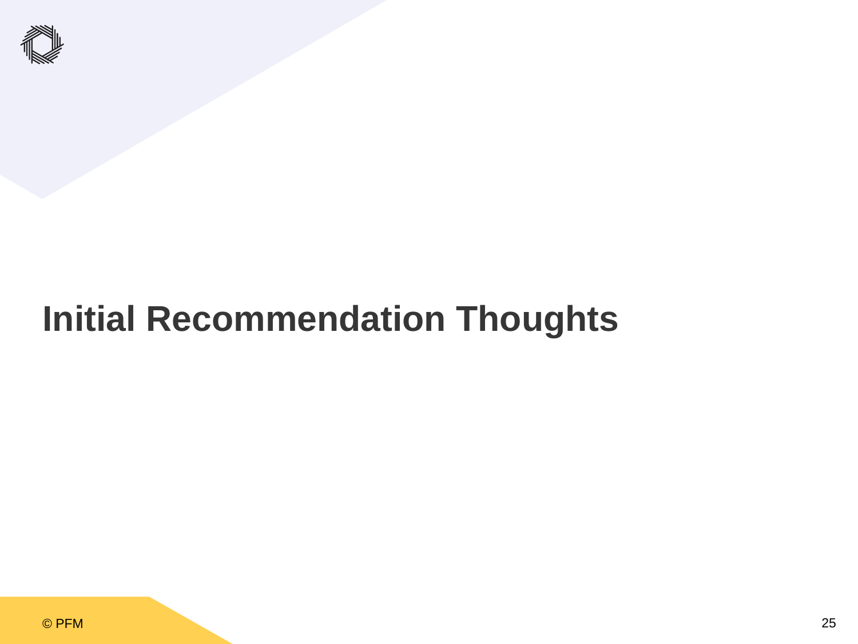

## **Initial Recommendation Thoughts**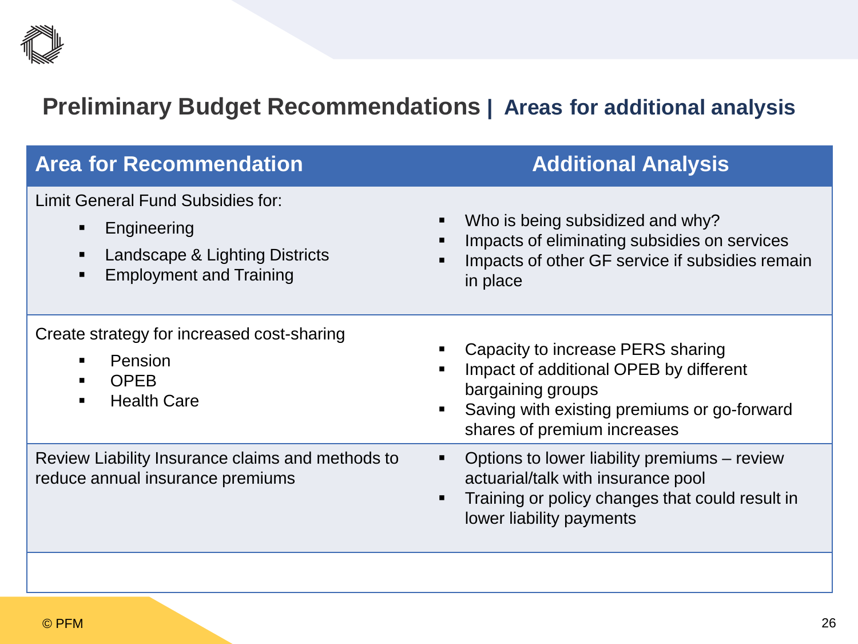

## **Preliminary Budget Recommendations | Areas for additional analysis**

| <b>Area for Recommendation</b>                                                                                                         | <b>Additional Analysis</b>                                                                                                                                                                            |
|----------------------------------------------------------------------------------------------------------------------------------------|-------------------------------------------------------------------------------------------------------------------------------------------------------------------------------------------------------|
| Limit General Fund Subsidies for:<br>Engineering<br>$\blacksquare$<br>Landscape & Lighting Districts<br><b>Employment and Training</b> | Who is being subsidized and why?<br>٠<br>Impacts of eliminating subsidies on services<br>Impacts of other GF service if subsidies remain<br>in place                                                  |
| Create strategy for increased cost-sharing<br>Pension<br><b>OPEB</b><br><b>Health Care</b>                                             | Capacity to increase PERS sharing<br>٠<br>Impact of additional OPEB by different<br>bargaining groups<br>Saving with existing premiums or go-forward<br>$\blacksquare$<br>shares of premium increases |
| Review Liability Insurance claims and methods to<br>reduce annual insurance premiums                                                   | Options to lower liability premiums – review<br>٠<br>actuarial/talk with insurance pool<br>Training or policy changes that could result in<br>$\blacksquare$<br>lower liability payments              |
|                                                                                                                                        |                                                                                                                                                                                                       |